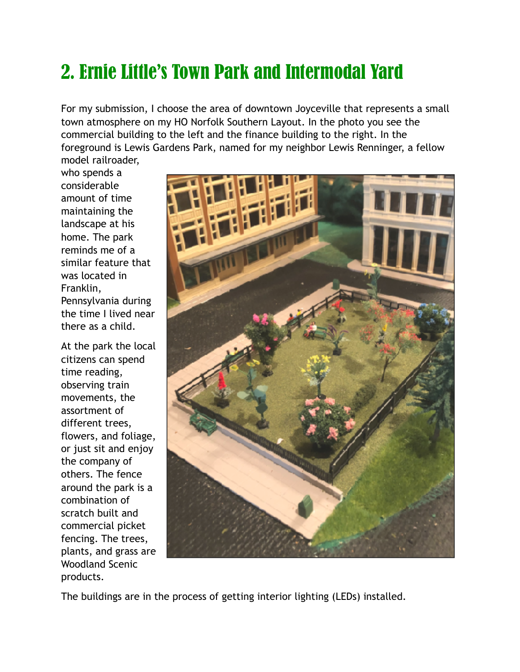## 2. Ernie Little's Town Park and Intermodal Yard

For my submission, I choose the area of downtown Joyceville that represents a small town atmosphere on my HO Norfolk Southern Layout. In the photo you see the commercial building to the left and the finance building to the right. In the foreground is Lewis Gardens Park, named for my neighbor Lewis Renninger, a fellow model railroader,

who spends a considerable amount of time maintaining the landscape at his home. The park reminds me of a similar feature that was located in Franklin, Pennsylvania during the time I lived near there as a child.

At the park the local citizens can spend time reading, observing train movements, the assortment of different trees, flowers, and foliage, or just sit and enjoy the company of others. The fence around the park is a combination of scratch built and commercial picket fencing. The trees, plants, and grass are Woodland Scenic products.



The buildings are in the process of getting interior lighting (LEDs) installed.